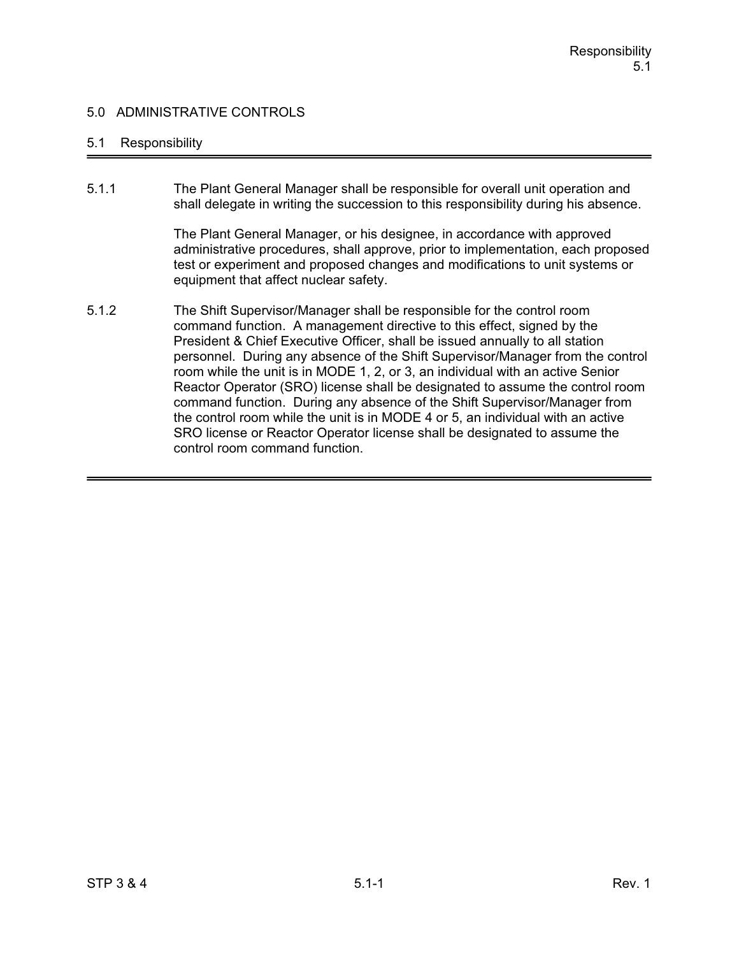### 5.1 Responsibility

5.1.1 The Plant General Manager shall be responsible for overall unit operation and shall delegate in writing the succession to this responsibility during his absence.

> The Plant General Manager, or his designee, in accordance with approved administrative procedures, shall approve, prior to implementation, each proposed test or experiment and proposed changes and modifications to unit systems or equipment that affect nuclear safety.

5.1.2 The Shift Supervisor/Manager shall be responsible for the control room command function. A management directive to this effect, signed by the President & Chief Executive Officer, shall be issued annually to all station personnel. During any absence of the Shift Supervisor/Manager from the control room while the unit is in MODE 1, 2, or 3, an individual with an active Senior Reactor Operator (SRO) license shall be designated to assume the control room command function. During any absence of the Shift Supervisor/Manager from the control room while the unit is in MODE 4 or 5, an individual with an active SRO license or Reactor Operator license shall be designated to assume the control room command function.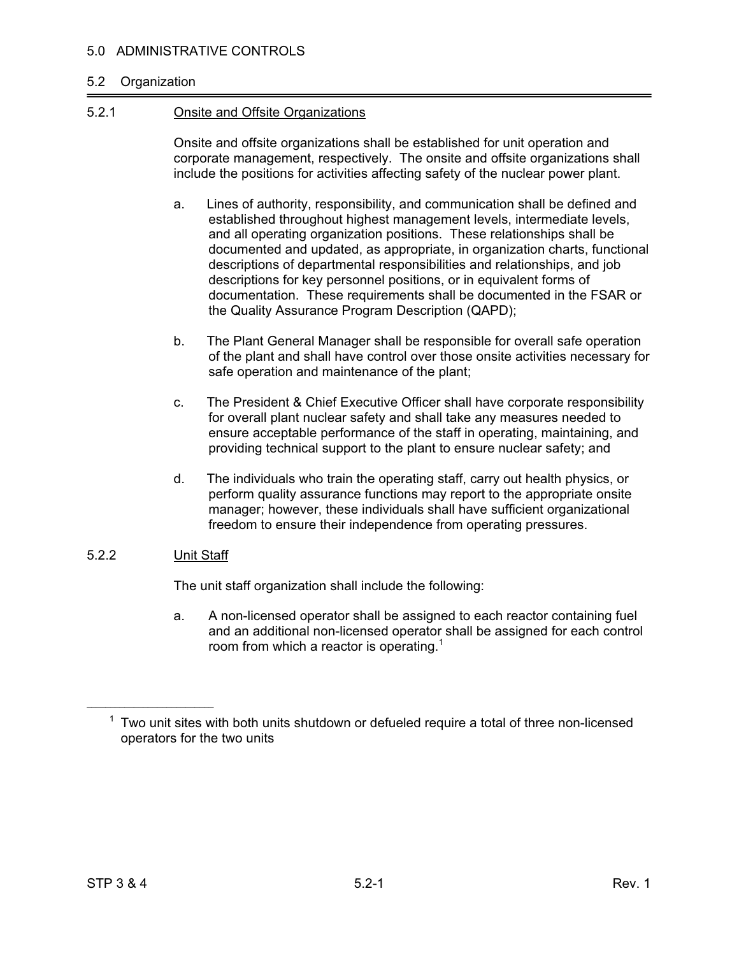#### 5.2 Organization

#### 5.2.1 Onsite and Offsite Organizations

Onsite and offsite organizations shall be established for unit operation and corporate management, respectively. The onsite and offsite organizations shall include the positions for activities affecting safety of the nuclear power plant.

- a. Lines of authority, responsibility, and communication shall be defined and established throughout highest management levels, intermediate levels, and all operating organization positions. These relationships shall be documented and updated, as appropriate, in organization charts, functional descriptions of departmental responsibilities and relationships, and job descriptions for key personnel positions, or in equivalent forms of documentation. These requirements shall be documented in the FSAR or the Quality Assurance Program Description (QAPD);
- b. The Plant General Manager shall be responsible for overall safe operation of the plant and shall have control over those onsite activities necessary for safe operation and maintenance of the plant;
- c. The President & Chief Executive Officer shall have corporate responsibility for overall plant nuclear safety and shall take any measures needed to ensure acceptable performance of the staff in operating, maintaining, and providing technical support to the plant to ensure nuclear safety; and
- d. The individuals who train the operating staff, carry out health physics, or perform quality assurance functions may report to the appropriate onsite manager; however, these individuals shall have sufficient organizational freedom to ensure their independence from operating pressures.

#### 5.2.2 Unit Staff

 $\mathcal{L}_\text{max}$  , which is a set of the set of the set of the set of the set of the set of the set of the set of the set of the set of the set of the set of the set of the set of the set of the set of the set of the set of

The unit staff organization shall include the following:

a. A non-licensed operator shall be assigned to each reactor containing fuel and an additional non-licensed operator shall be assigned for each control room from which a reactor is operating.<sup>1</sup>

 $1$  Two unit sites with both units shutdown or defueled require a total of three non-licensed operators for the two units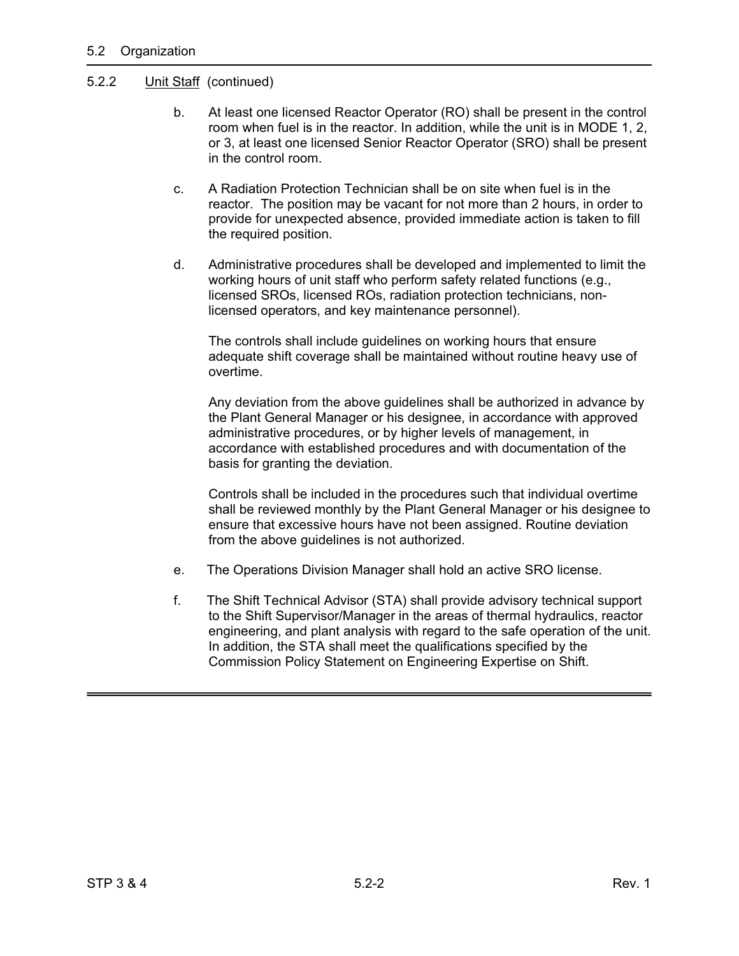### 5.2.2 Unit Staff (continued)

- b. At least one licensed Reactor Operator (RO) shall be present in the control room when fuel is in the reactor. In addition, while the unit is in MODE 1, 2, or 3, at least one licensed Senior Reactor Operator (SRO) shall be present in the control room.
- c. A Radiation Protection Technician shall be on site when fuel is in the reactor. The position may be vacant for not more than 2 hours, in order to provide for unexpected absence, provided immediate action is taken to fill the required position.
- d. Administrative procedures shall be developed and implemented to limit the working hours of unit staff who perform safety related functions (e.g., licensed SROs, licensed ROs, radiation protection technicians, nonlicensed operators, and key maintenance personnel).

 The controls shall include guidelines on working hours that ensure adequate shift coverage shall be maintained without routine heavy use of overtime.

 Any deviation from the above guidelines shall be authorized in advance by the Plant General Manager or his designee, in accordance with approved administrative procedures, or by higher levels of management, in accordance with established procedures and with documentation of the basis for granting the deviation.

Controls shall be included in the procedures such that individual overtime shall be reviewed monthly by the Plant General Manager or his designee to ensure that excessive hours have not been assigned. Routine deviation from the above guidelines is not authorized.

- e. The Operations Division Manager shall hold an active SRO license.
- f. The Shift Technical Advisor (STA) shall provide advisory technical support to the Shift Supervisor/Manager in the areas of thermal hydraulics, reactor engineering, and plant analysis with regard to the safe operation of the unit. In addition, the STA shall meet the qualifications specified by the Commission Policy Statement on Engineering Expertise on Shift.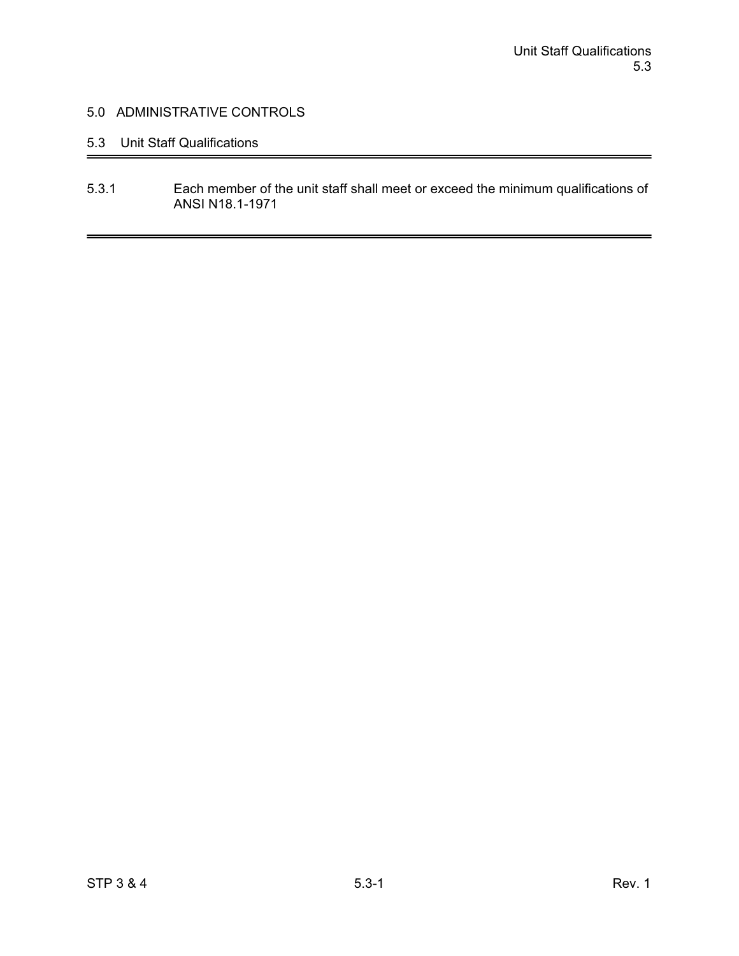## 5.3 Unit Staff Qualifications

5.3.1 Each member of the unit staff shall meet or exceed the minimum qualifications of ANSI N18.1-1971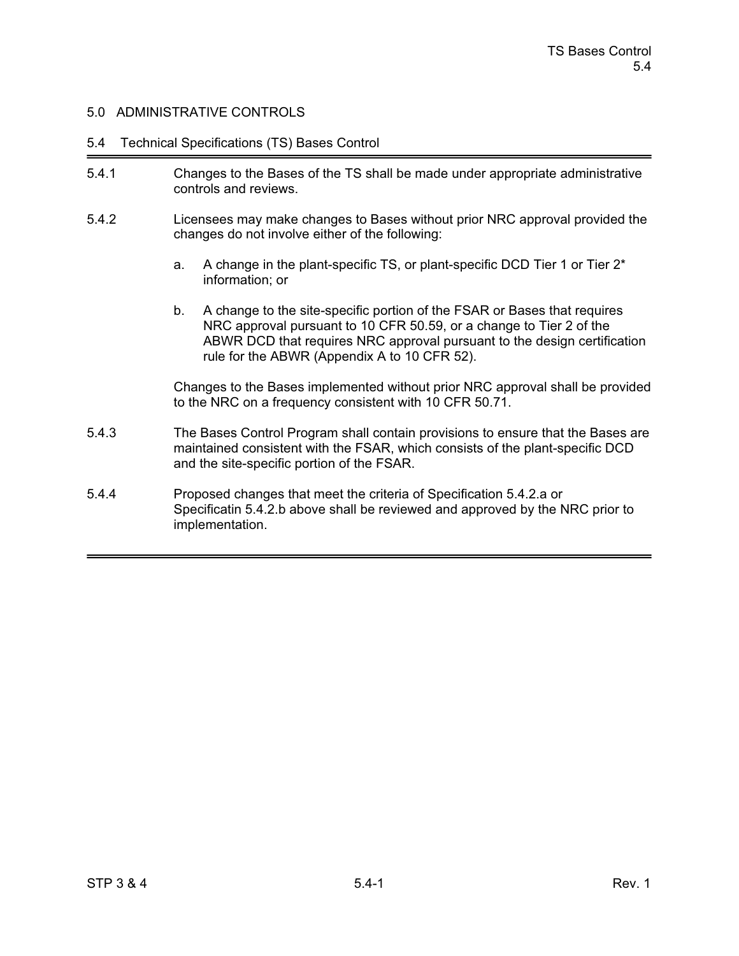#### 5.4 Technical Specifications (TS) Bases Control

- 5.4.1 Changes to the Bases of the TS shall be made under appropriate administrative controls and reviews.
- 5.4.2 Licensees may make changes to Bases without prior NRC approval provided the changes do not involve either of the following:
	- a. A change in the plant-specific TS, or plant-specific DCD Tier 1 or Tier 2\* information; or
	- b. A change to the site-specific portion of the FSAR or Bases that requires NRC approval pursuant to 10 CFR 50.59, or a change to Tier 2 of the ABWR DCD that requires NRC approval pursuant to the design certification rule for the ABWR (Appendix A to 10 CFR 52).

Changes to the Bases implemented without prior NRC approval shall be provided to the NRC on a frequency consistent with 10 CFR 50.71.

- 5.4.3 The Bases Control Program shall contain provisions to ensure that the Bases are maintained consistent with the FSAR, which consists of the plant-specific DCD and the site-specific portion of the FSAR.
- 5.4.4 Proposed changes that meet the criteria of Specification 5.4.2.a or Specificatin 5.4.2.b above shall be reviewed and approved by the NRC prior to implementation.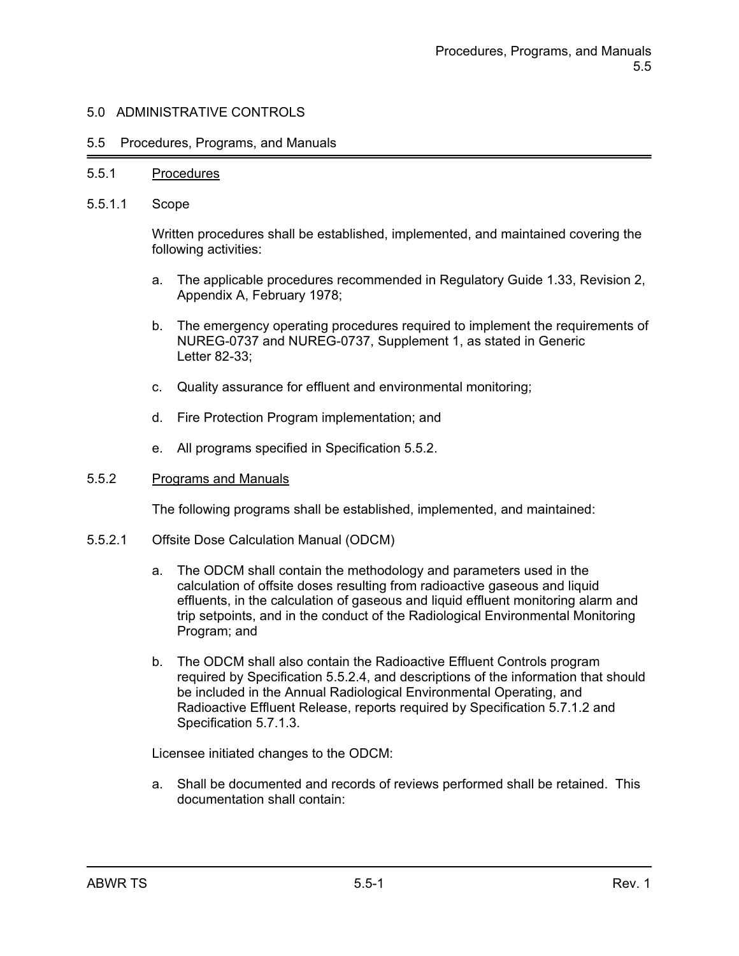#### 5.5 Procedures, Programs, and Manuals

#### 5.5.1 Procedures

5.5.1.1 Scope

Written procedures shall be established, implemented, and maintained covering the following activities:

- a. The applicable procedures recommended in Regulatory Guide 1.33, Revision 2, Appendix A, February 1978;
- b. The emergency operating procedures required to implement the requirements of NUREG-0737 and NUREG-0737, Supplement 1, as stated in Generic Letter 82-33;
- c. Quality assurance for effluent and environmental monitoring;
- d. Fire Protection Program implementation; and
- e. All programs specified in Specification 5.5.2.

#### 5.5.2 Programs and Manuals

The following programs shall be established, implemented, and maintained:

- 5.5.2.1 Offsite Dose Calculation Manual (ODCM)
	- a. The ODCM shall contain the methodology and parameters used in the calculation of offsite doses resulting from radioactive gaseous and liquid effluents, in the calculation of gaseous and liquid effluent monitoring alarm and trip setpoints, and in the conduct of the Radiological Environmental Monitoring Program; and
	- b. The ODCM shall also contain the Radioactive Effluent Controls program required by Specification 5.5.2.4, and descriptions of the information that should be included in the Annual Radiological Environmental Operating, and Radioactive Effluent Release, reports required by Specification 5.7.1.2 and Specification 5.7.1.3.

Licensee initiated changes to the ODCM:

a. Shall be documented and records of reviews performed shall be retained. This documentation shall contain: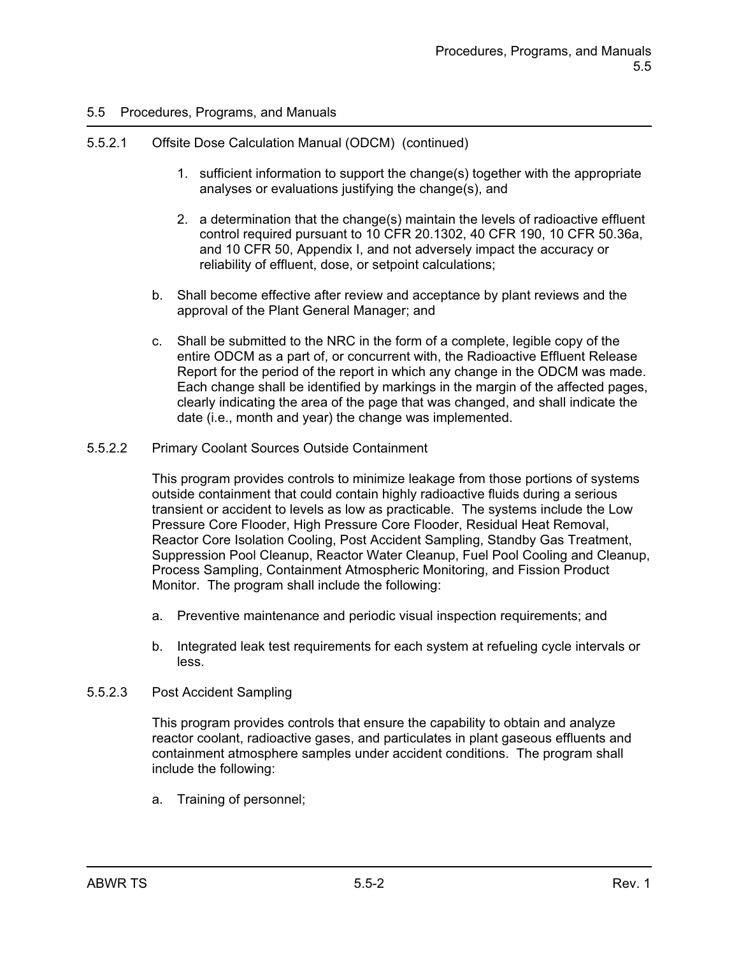## 5.5.2.1 Offsite Dose Calculation Manual (ODCM) (continued)

- 1. sufficient information to support the change(s) together with the appropriate analyses or evaluations justifying the change(s), and
- 2. a determination that the change(s) maintain the levels of radioactive effluent control required pursuant to 10 CFR 20.1302, 40 CFR 190, 10 CFR 50.36a, and 10 CFR 50, Appendix I, and not adversely impact the accuracy or reliability of effluent, dose, or setpoint calculations;
- b. Shall become effective after review and acceptance by plant reviews and the approval of the Plant General Manager; and
- c. Shall be submitted to the NRC in the form of a complete, legible copy of the entire ODCM as a part of, or concurrent with, the Radioactive Effluent Release Report for the period of the report in which any change in the ODCM was made. Each change shall be identified by markings in the margin of the affected pages, clearly indicating the area of the page that was changed, and shall indicate the date (i.e., month and year) the change was implemented.
- 5.5.2.2 Primary Coolant Sources Outside Containment

This program provides controls to minimize leakage from those portions of systems outside containment that could contain highly radioactive fluids during a serious transient or accident to levels as low as practicable. The systems include the Low Pressure Core Flooder, High Pressure Core Flooder, Residual Heat Removal, Reactor Core Isolation Cooling, Post Accident Sampling, Standby Gas Treatment, Suppression Pool Cleanup, Reactor Water Cleanup, Fuel Pool Cooling and Cleanup, Process Sampling, Containment Atmospheric Monitoring, and Fission Product Monitor. The program shall include the following:

- a. Preventive maintenance and periodic visual inspection requirements; and
- b. Integrated leak test requirements for each system at refueling cycle intervals or less.
- 5.5.2.3 Post Accident Sampling

This program provides controls that ensure the capability to obtain and analyze reactor coolant, radioactive gases, and particulates in plant gaseous effluents and containment atmosphere samples under accident conditions. The program shall include the following:

a. Training of personnel;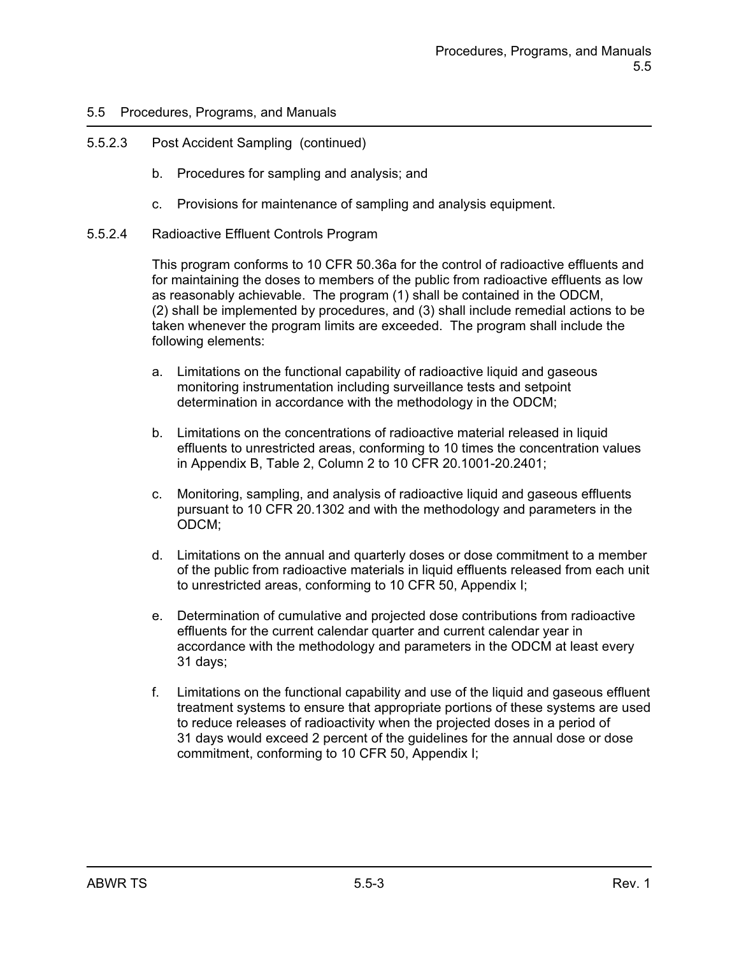## 5.5.2.3 Post Accident Sampling (continued)

- b. Procedures for sampling and analysis; and
- c. Provisions for maintenance of sampling and analysis equipment.
- 5.5.2.4 Radioactive Effluent Controls Program

This program conforms to 10 CFR 50.36a for the control of radioactive effluents and for maintaining the doses to members of the public from radioactive effluents as low as reasonably achievable. The program (1) shall be contained in the ODCM, (2) shall be implemented by procedures, and (3) shall include remedial actions to be taken whenever the program limits are exceeded. The program shall include the following elements:

- a. Limitations on the functional capability of radioactive liquid and gaseous monitoring instrumentation including surveillance tests and setpoint determination in accordance with the methodology in the ODCM;
- b. Limitations on the concentrations of radioactive material released in liquid effluents to unrestricted areas, conforming to 10 times the concentration values in Appendix B, Table 2, Column 2 to 10 CFR 20.1001-20.2401;
- c. Monitoring, sampling, and analysis of radioactive liquid and gaseous effluents pursuant to 10 CFR 20.1302 and with the methodology and parameters in the ODCM;
- d. Limitations on the annual and quarterly doses or dose commitment to a member of the public from radioactive materials in liquid effluents released from each unit to unrestricted areas, conforming to 10 CFR 50, Appendix I;
- e. Determination of cumulative and projected dose contributions from radioactive effluents for the current calendar quarter and current calendar year in accordance with the methodology and parameters in the ODCM at least every 31 days;
- f. Limitations on the functional capability and use of the liquid and gaseous effluent treatment systems to ensure that appropriate portions of these systems are used to reduce releases of radioactivity when the projected doses in a period of 31 days would exceed 2 percent of the guidelines for the annual dose or dose commitment, conforming to 10 CFR 50, Appendix I;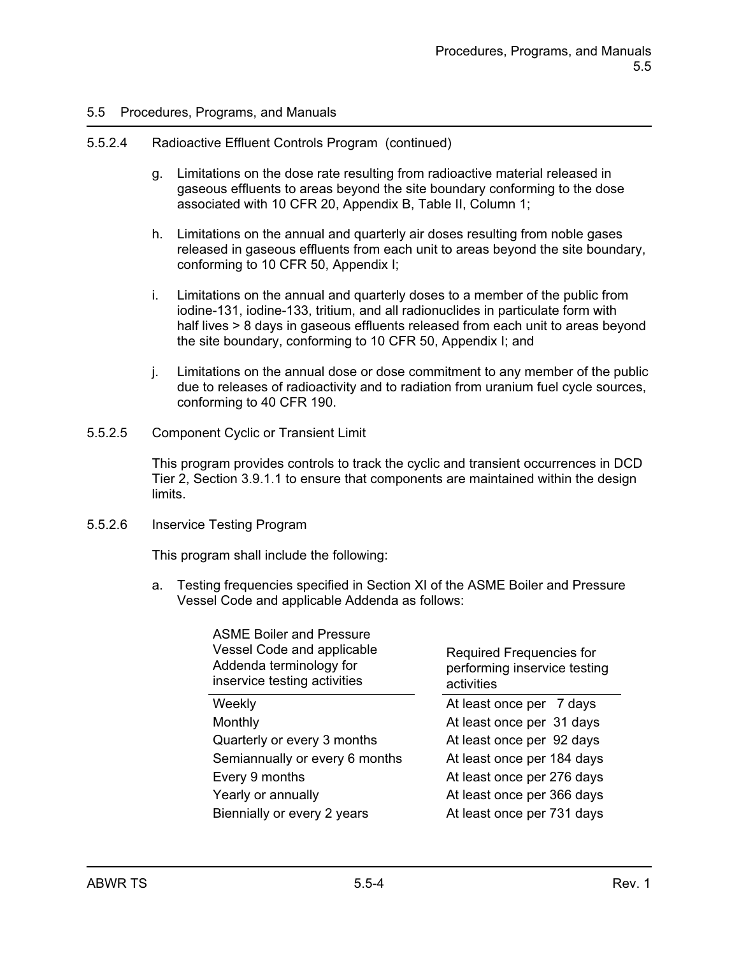#### 5.5.2.4 Radioactive Effluent Controls Program (continued)

- g. Limitations on the dose rate resulting from radioactive material released in gaseous effluents to areas beyond the site boundary conforming to the dose associated with 10 CFR 20, Appendix B, Table II, Column 1;
- h. Limitations on the annual and quarterly air doses resulting from noble gases released in gaseous effluents from each unit to areas beyond the site boundary, conforming to 10 CFR 50, Appendix I;
- i. Limitations on the annual and quarterly doses to a member of the public from iodine-131, iodine-133, tritium, and all radionuclides in particulate form with half lives > 8 days in gaseous effluents released from each unit to areas beyond the site boundary, conforming to 10 CFR 50, Appendix I; and
- j. Limitations on the annual dose or dose commitment to any member of the public due to releases of radioactivity and to radiation from uranium fuel cycle sources, conforming to 40 CFR 190.
- 5.5.2.5 Component Cyclic or Transient Limit

This program provides controls to track the cyclic and transient occurrences in DCD Tier 2, Section 3.9.1.1 to ensure that components are maintained within the design limits.

#### 5.5.2.6 Inservice Testing Program

This program shall include the following:

a. Testing frequencies specified in Section XI of the ASME Boiler and Pressure Vessel Code and applicable Addenda as follows:

| <b>ASME Boiler and Pressure</b><br>Vessel Code and applicable<br>Addenda terminology for<br>inservice testing activities | Required Frequencies for<br>performing inservice testing<br>activities |  |
|--------------------------------------------------------------------------------------------------------------------------|------------------------------------------------------------------------|--|
| Weekly                                                                                                                   | At least once per 7 days                                               |  |
| Monthly                                                                                                                  | At least once per 31 days                                              |  |
| Quarterly or every 3 months                                                                                              | At least once per 92 days                                              |  |
| Semiannually or every 6 months                                                                                           | At least once per 184 days                                             |  |
| Every 9 months                                                                                                           | At least once per 276 days                                             |  |
| Yearly or annually                                                                                                       | At least once per 366 days                                             |  |
| Biennially or every 2 years                                                                                              | At least once per 731 days                                             |  |
|                                                                                                                          |                                                                        |  |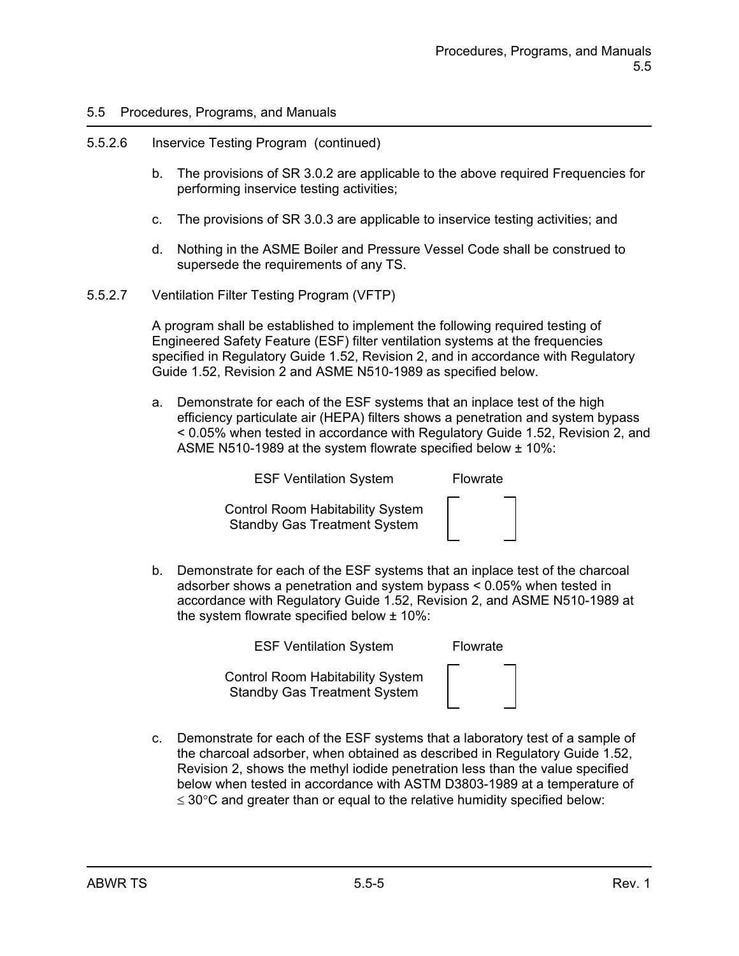## 5.5.2.6 Inservice Testing Program (continued)

- b. The provisions of SR 3.0.2 are applicable to the above required Frequencies for performing inservice testing activities;
- c. The provisions of SR 3.0.3 are applicable to inservice testing activities; and
- d. Nothing in the ASME Boiler and Pressure Vessel Code shall be construed to supersede the requirements of any TS.
- 5.5.2.7 Ventilation Filter Testing Program (VFTP)

A program shall be established to implement the following required testing of Engineered Safety Feature (ESF) filter ventilation systems at the frequencies specified in Regulatory Guide 1.52, Revision 2, and in accordance with Regulatory Guide 1.52, Revision 2 and ASME N510-1989 as specified below.

a. Demonstrate for each of the ESF systems that an inplace test of the high efficiency particulate air (HEPA) filters shows a penetration and system bypass < 0.05% when tested in accordance with Regulatory Guide 1.52, Revision 2, and ASME N510-1989 at the system flowrate specified below ± 10%:

ESF Ventilation System Flowrate

Control Room Habitability System Standby Gas Treatment System



b. Demonstrate for each of the ESF systems that an inplace test of the charcoal adsorber shows a penetration and system bypass < 0.05% when tested in accordance with Regulatory Guide 1.52, Revision 2, and ASME N510-1989 at the system flowrate specified below ± 10%:

ESF Ventilation System Flowrate

Control Room Habitability System Standby Gas Treatment System

c. Demonstrate for each of the ESF systems that a laboratory test of a sample of the charcoal adsorber, when obtained as described in Regulatory Guide 1.52, Revision 2, shows the methyl iodide penetration less than the value specified below when tested in accordance with ASTM D3803-1989 at a temperature of  $\leq$  30 $\degree$ C and greater than or equal to the relative humidity specified below: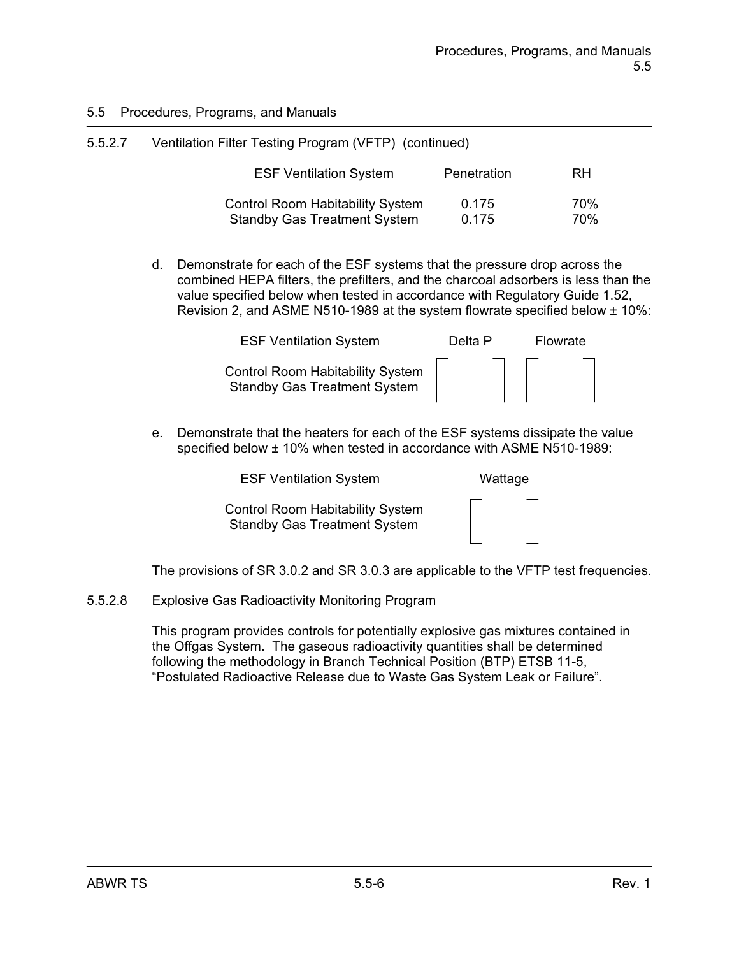| 5.5.2.7 | Ventilation Filter Testing Program (VFTP) (continued) |             |           |  |
|---------|-------------------------------------------------------|-------------|-----------|--|
|         | <b>ESF Ventilation System</b>                         | Penetration | <b>RH</b> |  |
|         | <b>Control Room Habitability System</b>               | 0.175       | 70%       |  |
|         | <b>Standby Gas Treatment System</b>                   | 0.175       | 70%       |  |

d. Demonstrate for each of the ESF systems that the pressure drop across the combined HEPA filters, the prefilters, and the charcoal adsorbers is less than the value specified below when tested in accordance with Regulatory Guide 1.52, Revision 2, and ASME N510-1989 at the system flowrate specified below ± 10%:

| <b>ESF Ventilation System</b>                                                  | Delta P | Flowrate |  |
|--------------------------------------------------------------------------------|---------|----------|--|
| <b>Control Room Habitability System</b><br><b>Standby Gas Treatment System</b> |         |          |  |

e. Demonstrate that the heaters for each of the ESF systems dissipate the value specified below ± 10% when tested in accordance with ASME N510-1989:

ESF Ventilation System Wattage

Control Room Habitability System Standby Gas Treatment System

| - |  |    |
|---|--|----|
|   |  |    |
|   |  |    |
|   |  |    |
|   |  |    |
|   |  |    |
|   |  |    |
| - |  | __ |
|   |  |    |

The provisions of SR 3.0.2 and SR 3.0.3 are applicable to the VFTP test frequencies.

5.5.2.8 Explosive Gas Radioactivity Monitoring Program

This program provides controls for potentially explosive gas mixtures contained in the Offgas System. The gaseous radioactivity quantities shall be determined following the methodology in Branch Technical Position (BTP) ETSB 11-5, "Postulated Radioactive Release due to Waste Gas System Leak or Failure".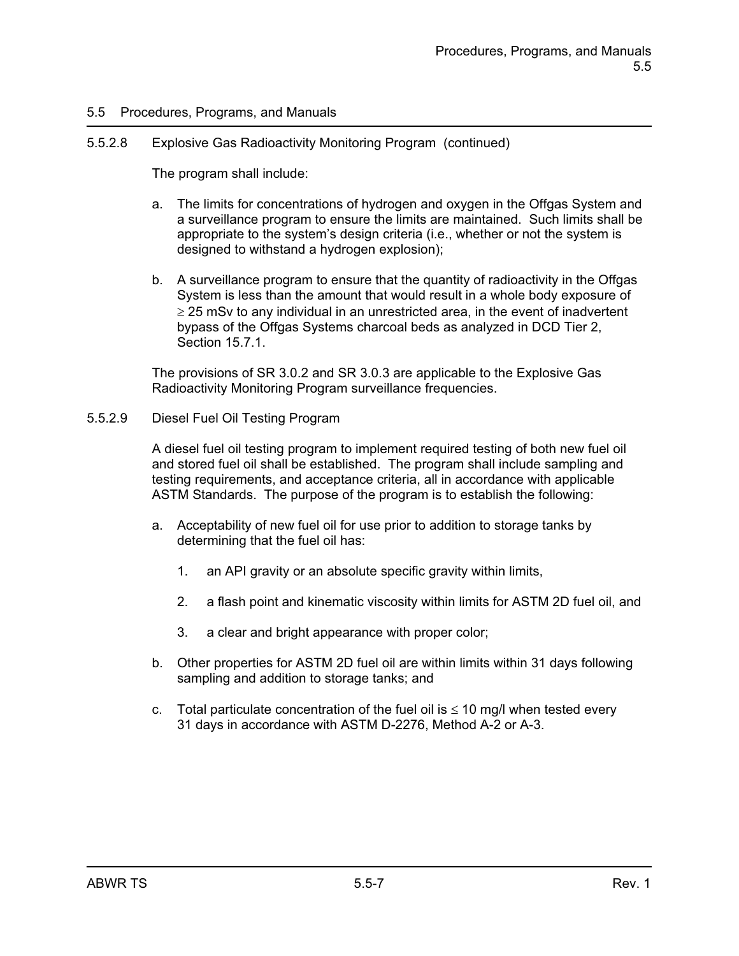#### 5.5.2.8 Explosive Gas Radioactivity Monitoring Program (continued)

The program shall include:

- a. The limits for concentrations of hydrogen and oxygen in the Offgas System and a surveillance program to ensure the limits are maintained. Such limits shall be appropriate to the system's design criteria (i.e., whether or not the system is designed to withstand a hydrogen explosion);
- b. A surveillance program to ensure that the quantity of radioactivity in the Offgas System is less than the amount that would result in a whole body exposure of  $\geq$  25 mSv to any individual in an unrestricted area, in the event of inadvertent bypass of the Offgas Systems charcoal beds as analyzed in DCD Tier 2, Section 15.7.1.

The provisions of SR 3.0.2 and SR 3.0.3 are applicable to the Explosive Gas Radioactivity Monitoring Program surveillance frequencies.

#### 5.5.2.9 Diesel Fuel Oil Testing Program

A diesel fuel oil testing program to implement required testing of both new fuel oil and stored fuel oil shall be established. The program shall include sampling and testing requirements, and acceptance criteria, all in accordance with applicable ASTM Standards. The purpose of the program is to establish the following:

- a. Acceptability of new fuel oil for use prior to addition to storage tanks by determining that the fuel oil has:
	- 1. an API gravity or an absolute specific gravity within limits,
	- 2. a flash point and kinematic viscosity within limits for ASTM 2D fuel oil, and
	- 3. a clear and bright appearance with proper color;
- b. Other properties for ASTM 2D fuel oil are within limits within 31 days following sampling and addition to storage tanks; and
- c. Total particulate concentration of the fuel oil is  $\leq 10$  mg/l when tested every 31 days in accordance with ASTM D-2276, Method A-2 or A-3.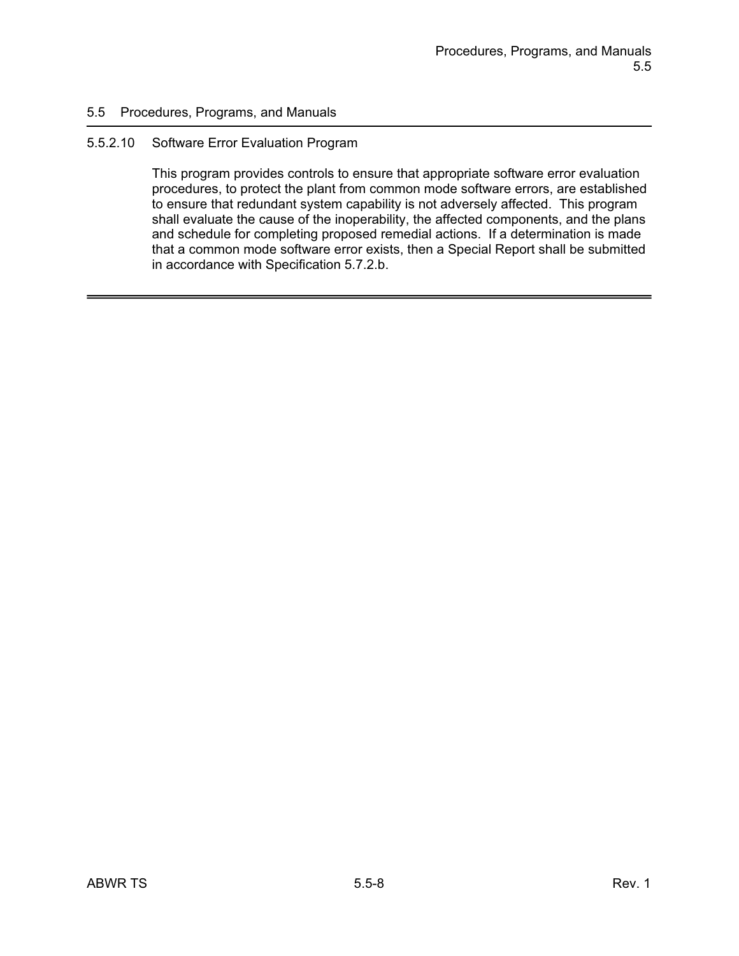#### 5.5.2.10 Software Error Evaluation Program

This program provides controls to ensure that appropriate software error evaluation procedures, to protect the plant from common mode software errors, are established to ensure that redundant system capability is not adversely affected. This program shall evaluate the cause of the inoperability, the affected components, and the plans and schedule for completing proposed remedial actions. If a determination is made that a common mode software error exists, then a Special Report shall be submitted in accordance with Specification 5.7.2.b.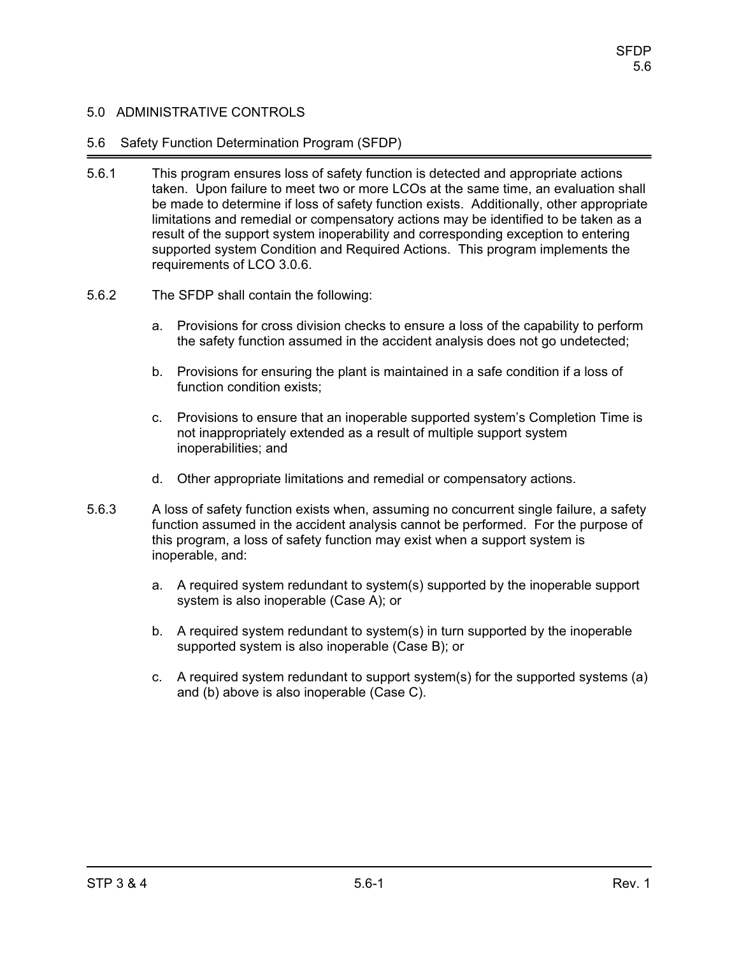### 5.6 Safety Function Determination Program (SFDP)

- 5.6.1 This program ensures loss of safety function is detected and appropriate actions taken. Upon failure to meet two or more LCOs at the same time, an evaluation shall be made to determine if loss of safety function exists. Additionally, other appropriate limitations and remedial or compensatory actions may be identified to be taken as a result of the support system inoperability and corresponding exception to entering supported system Condition and Required Actions. This program implements the requirements of LCO 3.0.6.
- 5.6.2 The SFDP shall contain the following:
	- a. Provisions for cross division checks to ensure a loss of the capability to perform the safety function assumed in the accident analysis does not go undetected;
	- b. Provisions for ensuring the plant is maintained in a safe condition if a loss of function condition exists;
	- c. Provisions to ensure that an inoperable supported system's Completion Time is not inappropriately extended as a result of multiple support system inoperabilities; and
	- d. Other appropriate limitations and remedial or compensatory actions.
- 5.6.3 A loss of safety function exists when, assuming no concurrent single failure, a safety function assumed in the accident analysis cannot be performed. For the purpose of this program, a loss of safety function may exist when a support system is inoperable, and:
	- a. A required system redundant to system(s) supported by the inoperable support system is also inoperable (Case A); or
	- b. A required system redundant to system(s) in turn supported by the inoperable supported system is also inoperable (Case B); or
	- c. A required system redundant to support system(s) for the supported systems (a) and (b) above is also inoperable (Case C).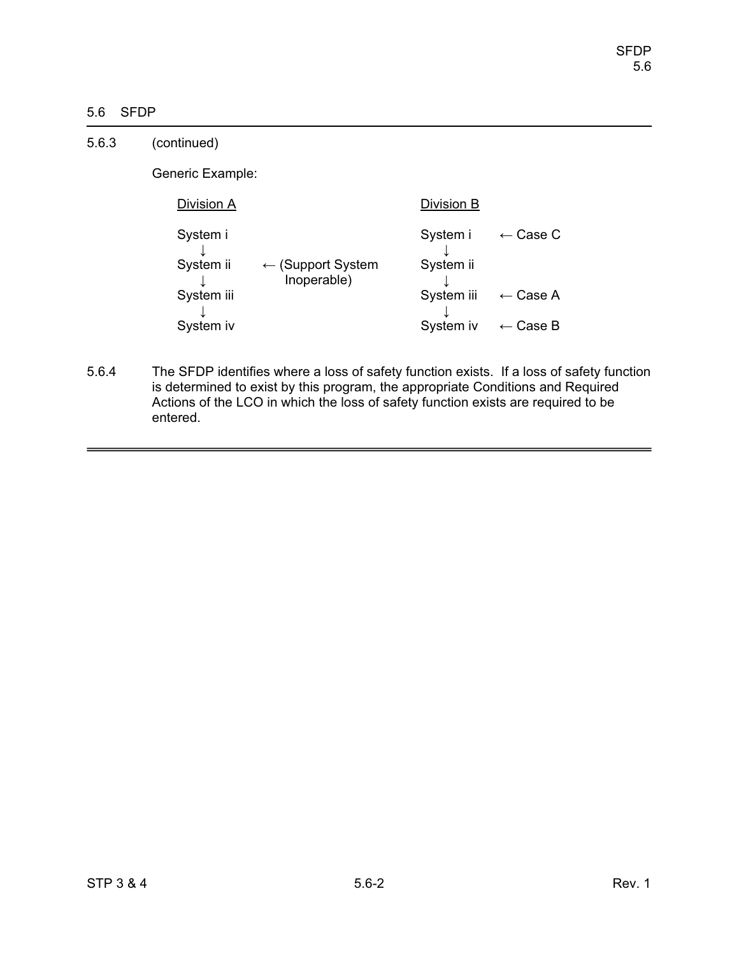# 5.6 SFDP

| 5.6.3 | (continued)           |                                             |                       |                        |
|-------|-----------------------|---------------------------------------------|-----------------------|------------------------|
|       | Generic Example:      |                                             |                       |                        |
|       | Division A            |                                             | Division B            |                        |
|       | System i<br>System ii | $\leftarrow$ (Support System<br>Inoperable) | System i<br>System ii | Case C<br>$\leftarrow$ |
|       | System iii            |                                             | System iii            | $\leftarrow$ Case A    |
|       | System iv             |                                             | System iv             | $\leftarrow$ Case B    |

5.6.4 The SFDP identifies where a loss of safety function exists. If a loss of safety function is determined to exist by this program, the appropriate Conditions and Required Actions of the LCO in which the loss of safety function exists are required to be entered.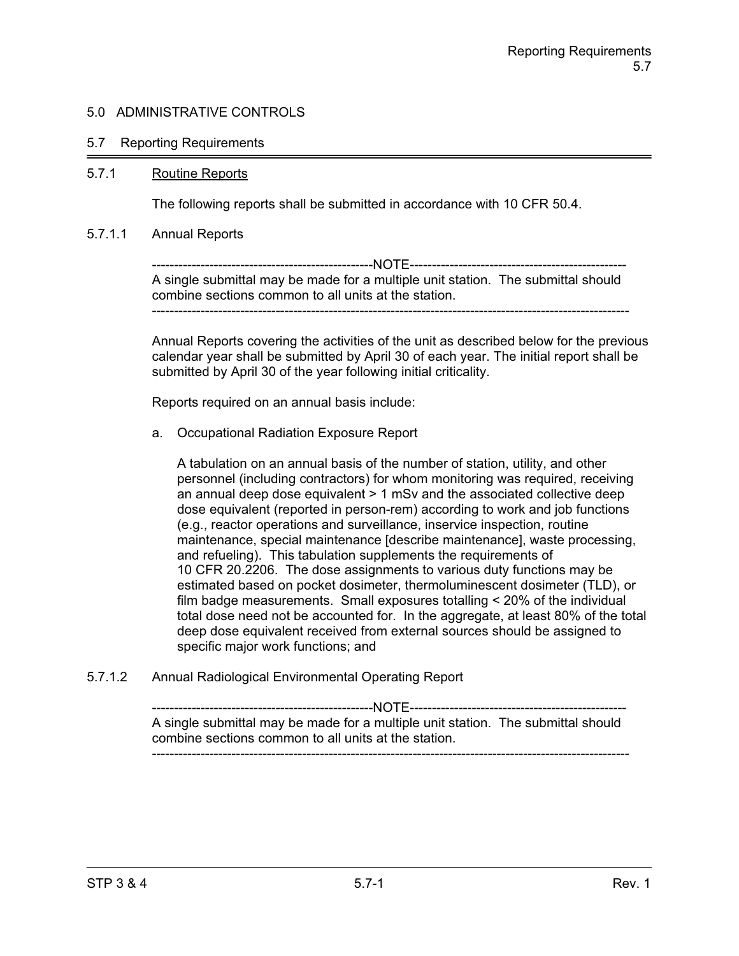#### 5.7 Reporting Requirements

#### 5.7.1 Routine Reports

The following reports shall be submitted in accordance with 10 CFR 50.4.

#### 5.7.1.1 Annual Reports

--------------------------------------------------NOTE------------------------------------------------- A single submittal may be made for a multiple unit station. The submittal should combine sections common to all units at the station. ------------------------------------------------------------------------------------------------------------

Annual Reports covering the activities of the unit as described below for the previous calendar year shall be submitted by April 30 of each year. The initial report shall be submitted by April 30 of the year following initial criticality.

Reports required on an annual basis include:

a. Occupational Radiation Exposure Report

A tabulation on an annual basis of the number of station, utility, and other personnel (including contractors) for whom monitoring was required, receiving an annual deep dose equivalent > 1 mSv and the associated collective deep dose equivalent (reported in person-rem) according to work and job functions (e.g., reactor operations and surveillance, inservice inspection, routine maintenance, special maintenance [describe maintenance], waste processing, and refueling). This tabulation supplements the requirements of 10 CFR 20.2206. The dose assignments to various duty functions may be estimated based on pocket dosimeter, thermoluminescent dosimeter (TLD), or film badge measurements. Small exposures totalling < 20% of the individual total dose need not be accounted for. In the aggregate, at least 80% of the total deep dose equivalent received from external sources should be assigned to specific major work functions; and

5.7.1.2 Annual Radiological Environmental Operating Report

--------------------------------------------------NOTE------------------------------------------------- A single submittal may be made for a multiple unit station. The submittal should combine sections common to all units at the station. ------------------------------------------------------------------------------------------------------------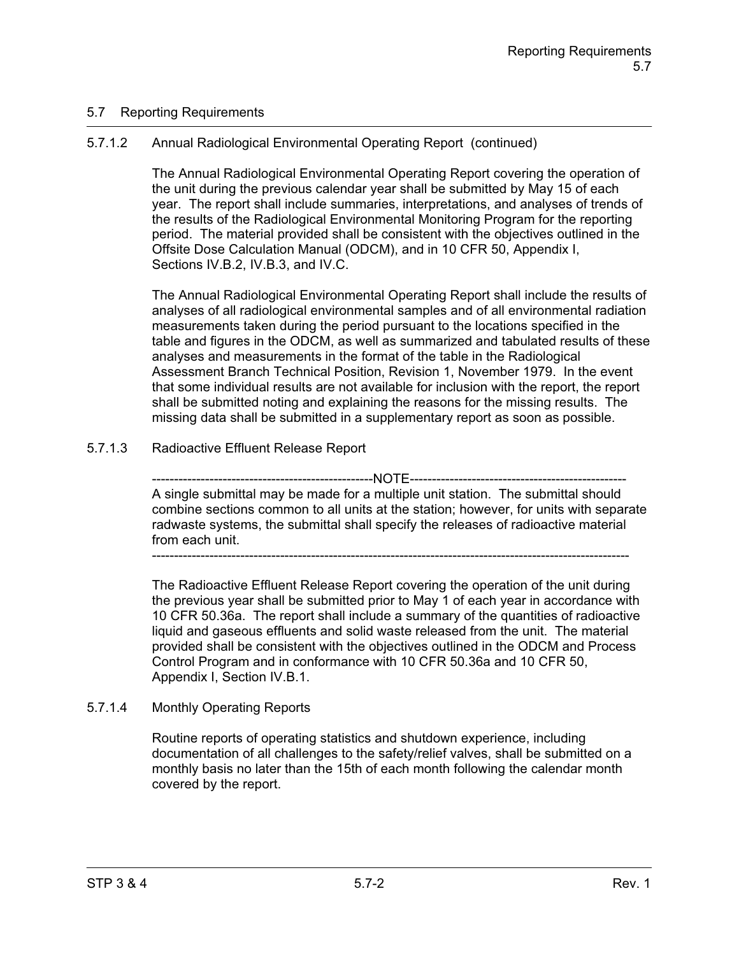## 5.7 Reporting Requirements

# 5.7.1.2 Annual Radiological Environmental Operating Report (continued)

The Annual Radiological Environmental Operating Report covering the operation of the unit during the previous calendar year shall be submitted by May 15 of each year. The report shall include summaries, interpretations, and analyses of trends of the results of the Radiological Environmental Monitoring Program for the reporting period. The material provided shall be consistent with the objectives outlined in the Offsite Dose Calculation Manual (ODCM), and in 10 CFR 50, Appendix I, Sections IV.B.2, IV.B.3, and IV.C.

The Annual Radiological Environmental Operating Report shall include the results of analyses of all radiological environmental samples and of all environmental radiation measurements taken during the period pursuant to the locations specified in the table and figures in the ODCM, as well as summarized and tabulated results of these analyses and measurements in the format of the table in the Radiological Assessment Branch Technical Position, Revision 1, November 1979. In the event that some individual results are not available for inclusion with the report, the report shall be submitted noting and explaining the reasons for the missing results. The missing data shall be submitted in a supplementary report as soon as possible.

# 5.7.1.3 Radioactive Effluent Release Report

------------NOTE------------A single submittal may be made for a multiple unit station. The submittal should combine sections common to all units at the station; however, for units with separate radwaste systems, the submittal shall specify the releases of radioactive material from each unit.

------------------------------------------------------------------------------------------------------------

The Radioactive Effluent Release Report covering the operation of the unit during the previous year shall be submitted prior to May 1 of each year in accordance with 10 CFR 50.36a. The report shall include a summary of the quantities of radioactive liquid and gaseous effluents and solid waste released from the unit. The material provided shall be consistent with the objectives outlined in the ODCM and Process Control Program and in conformance with 10 CFR 50.36a and 10 CFR 50, Appendix I, Section IV.B.1.

# 5.7.1.4 Monthly Operating Reports

Routine reports of operating statistics and shutdown experience, including documentation of all challenges to the safety/relief valves, shall be submitted on a monthly basis no later than the 15th of each month following the calendar month covered by the report.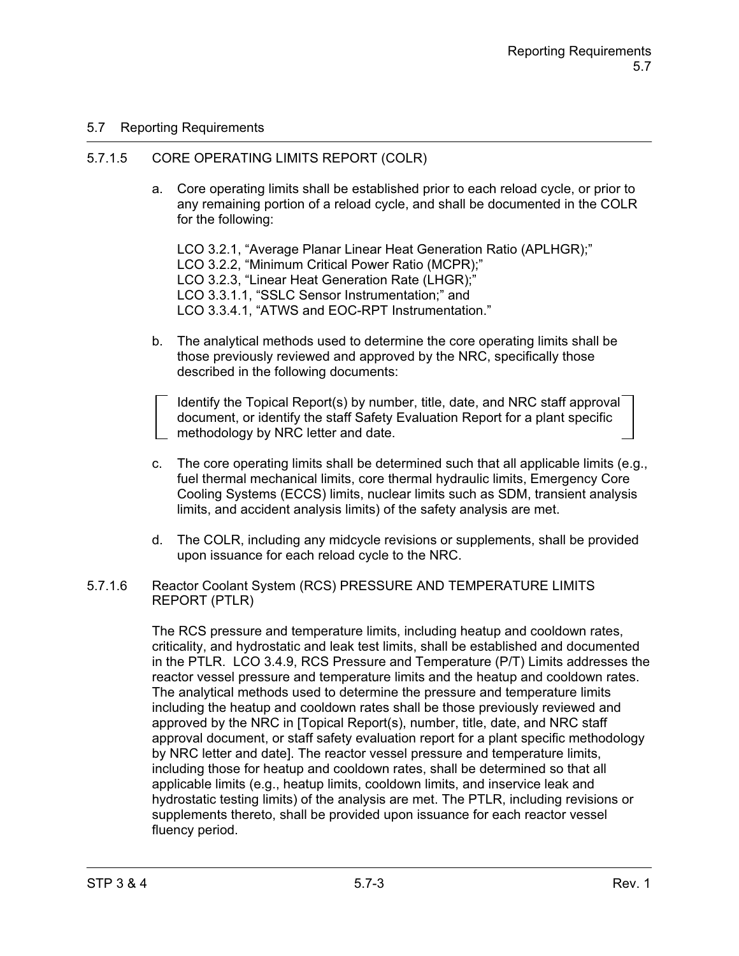## 5.7 Reporting Requirements

### 5.7.1.5 CORE OPERATING LIMITS REPORT (COLR)

a. Core operating limits shall be established prior to each reload cycle, or prior to any remaining portion of a reload cycle, and shall be documented in the COLR for the following:

LCO 3.2.1, "Average Planar Linear Heat Generation Ratio (APLHGR);" LCO 3.2.2, "Minimum Critical Power Ratio (MCPR);" LCO 3.2.3, "Linear Heat Generation Rate (LHGR);" LCO 3.3.1.1, "SSLC Sensor Instrumentation;" and LCO 3.3.4.1, "ATWS and EOC-RPT Instrumentation."

b. The analytical methods used to determine the core operating limits shall be those previously reviewed and approved by the NRC, specifically those described in the following documents:

Identify the Topical Report(s) by number, title, date, and NRC staff approval document, or identify the staff Safety Evaluation Report for a plant specific methodology by NRC letter and date.

- c. The core operating limits shall be determined such that all applicable limits (e.g., fuel thermal mechanical limits, core thermal hydraulic limits, Emergency Core Cooling Systems (ECCS) limits, nuclear limits such as SDM, transient analysis limits, and accident analysis limits) of the safety analysis are met.
- d. The COLR, including any midcycle revisions or supplements, shall be provided upon issuance for each reload cycle to the NRC.

#### 5.7.1.6 Reactor Coolant System (RCS) PRESSURE AND TEMPERATURE LIMITS REPORT (PTLR)

The RCS pressure and temperature limits, including heatup and cooldown rates, criticality, and hydrostatic and leak test limits, shall be established and documented in the PTLR. LCO 3.4.9, RCS Pressure and Temperature (P/T) Limits addresses the reactor vessel pressure and temperature limits and the heatup and cooldown rates. The analytical methods used to determine the pressure and temperature limits including the heatup and cooldown rates shall be those previously reviewed and approved by the NRC in [Topical Report(s), number, title, date, and NRC staff approval document, or staff safety evaluation report for a plant specific methodology by NRC letter and date]. The reactor vessel pressure and temperature limits, including those for heatup and cooldown rates, shall be determined so that all applicable limits (e.g., heatup limits, cooldown limits, and inservice leak and hydrostatic testing limits) of the analysis are met. The PTLR, including revisions or supplements thereto, shall be provided upon issuance for each reactor vessel fluency period.